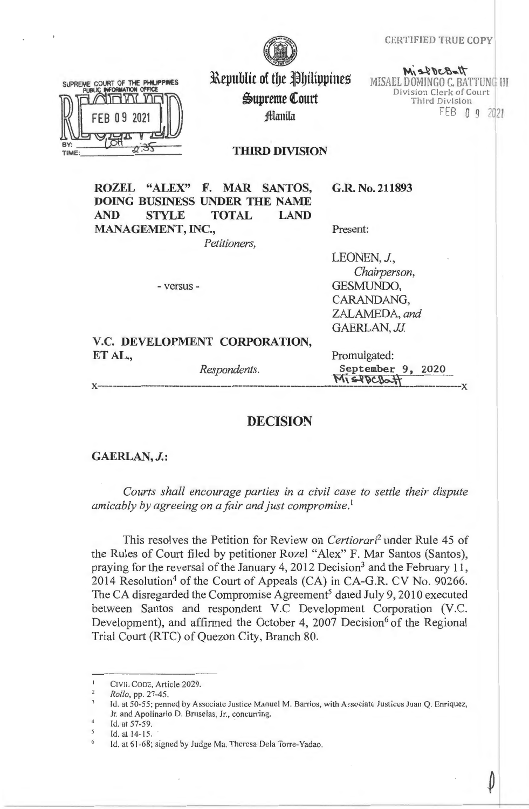CERT!FIED TRUE COPY



SUPREME COURT OF THE PHILIPPINES  $\sqrt{1}$ TIME

Republic of the Philippines  $\mathfrak{G}$ upreme Court filamila

 $M_1$   $\leq$   $POCB$  of  $H$ MISAEL DOMINGO C. BATTUNG III Division Clerk of Court Third Division FEB O 9 <sup>2021</sup>

**THIRD DIVISION** 

**ROZEL "ALEX" F. MAR SANTOS, DOING BUSINESS UNDER THE NAME AND STYLE TOTAL LAND MANAGEMENT, INC.,** 

*Petitioners,* 

- versus -

**G.R. No. 211893** 

Present:

LEONEN, J., *Chairperson,*  GESMUNDO, CARANDANG, ZALAMEDA, *and*  GAERLAN, JJ.

# **V.C. DEVELOPMENT CORPORATION, ET AL.,** Promulgated:

Respondents. **September 9, 2020 Mis-Pock x--------------------------------------------------------------- M\ ~ ~c.~W----------------x** 

# **DECISION**

### **GAERLAN, J.:**

*Courts shall encourage parties in a civil case to settle their dispute amicably by agreeing on a fair and just compromise.* <sup>1</sup>

This resolves the Petition for Review on *Certiorari2* under Rule 45 of the Rules of Court filed by petitioner Rozel "Alex" F. Mar Santos (Santos), praying for the reversal of the January 4, 2012 Decision<sup>3</sup> and the February 11, 2014 Resolution<sup>4</sup> of the Court of Appeals (CA) in CA-G.R. CV No. 90266. The CA disregarded the Compromise Agreement<sup>5</sup> dated July 9, 2010 executed between Santos and respondent V.C Development Corporation (V.C. Development), and affirmed the October 4, 2007 Decision<sup>6</sup> of the Regional Trial Court (RTC) of Quezon City, Branch 80.

CIVIL CODE, Article 2029.

<sup>2</sup>  *Roilo,* pp. 27-45 .

Id. at 50-55; penned by Associate Justice Manuel M. Barrios, with Associate Justices Juan Q. Enriquez, Jr. and Apolinario D. Bruselas, Jr., concurring.

 $\overline{4}$ Id. at 57-59.

<sup>5</sup> Id. at 14-15.

<sup>6</sup>  Id. at 61-68; signed by Judge Ma. Theresa Dela Torre-Yadao.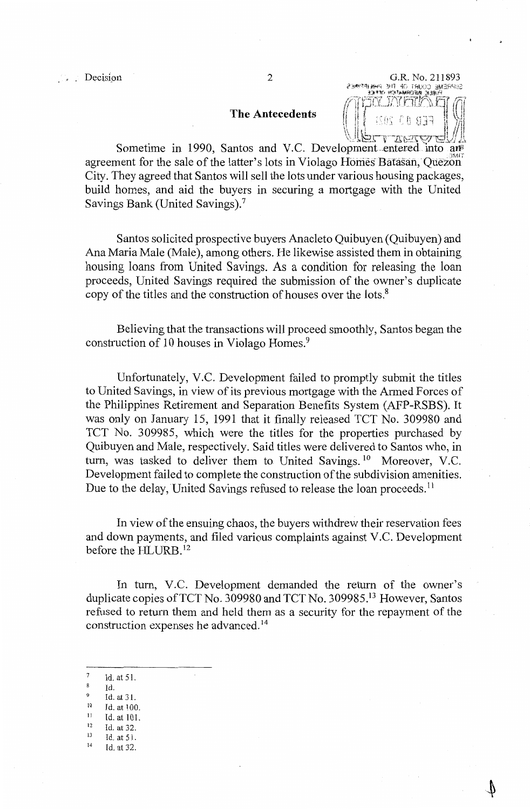# **The Antecedents**

**. . . . . Decision** 2 G.R. No. 211893 SUPREME COURT OF THE PHAIPPMES<br>ENDIC RECRAINDRATOR  $\mathcal{D}\Omega$ rri $\mathcal{D}\Omega$ j1 i ! i ' , *'•i* Z.L.;i ·, , *I* iii  $\mathbb{U}$ ,  $\mathbb{U}$ *\:~~,* )nl:.:c,-,~lt i rL\ \.;:"\_~ .. \, *"¾;yj \.."-:. ....* ilJ i,,.\

Sometime in 1990, Santos and V.C. Development entered into ans agreement for the sale of the latter's lots in Violago Homes Batasan, Quezon City. They agreed that Santos will sell the lots under various housing packages, build homes, and aid the buyers in securing a mortgage with the United Savings Bank (United Savings).<sup>7</sup>

Santos solicited prospective buyers Anacleto Quibuyen (Quibuyen) and Ana Maria Male (Male), among others. He likewise assisted them in obtaining housing loans from United Savings. As a condition for releasing the loan proceeds, United Savings required the submission of the owner's duplicate copy of the titles and the construction of houses over the lots.<sup>8</sup>

Believing that the transactions will proceed smoothly, Santos began the construction of 10 houses in Violago Homes. <sup>9</sup>

Unfortunately, V.C. Development failed to promptly submit the titles to United Savings, in view of its previous mortgage with the Armed Forces of the Philippines Retirement and Separation Benefits System (AFP-RSBS). It was only on January 15, 1991 that it finally released TCT No. 309980 and TCT No. 309985, which were the titles for the properties purchased by Quibuyen and Male, respectively. Said titles were delivered to Santos who, in turn, was tasked to deliver them to United Savings.<sup>10</sup> Moreover, V.C. Development failed to complete the construction of the subdivision amenities. Due to the delay, United Savings refused to release the loan proceeds.<sup>11</sup>

In view of the ensuing chaos, the buyers withdrew their reservation fees and down payments, and filed various complaints against V.C. Development before the HLURB. <sup>12</sup>

In tum, V.C. Development demanded the return of the owner's duplicate copies of TCT No. 309980 and TCT No. 309985.<sup>13</sup> However, Santos refused to return them and held them as a security for the repayment of the construction expenses he advanced. <sup>14</sup>

- Id. at 51.
- Id.<br>Id. at 31.
- 
- 10 Id. at 100.<br>
11 Id. at 101.<br>
12 Id. at 32.
- 
- <sup>12</sup> Id. at 32.<br><sup>13</sup> Id. at 51.
- 14 Id. at 32.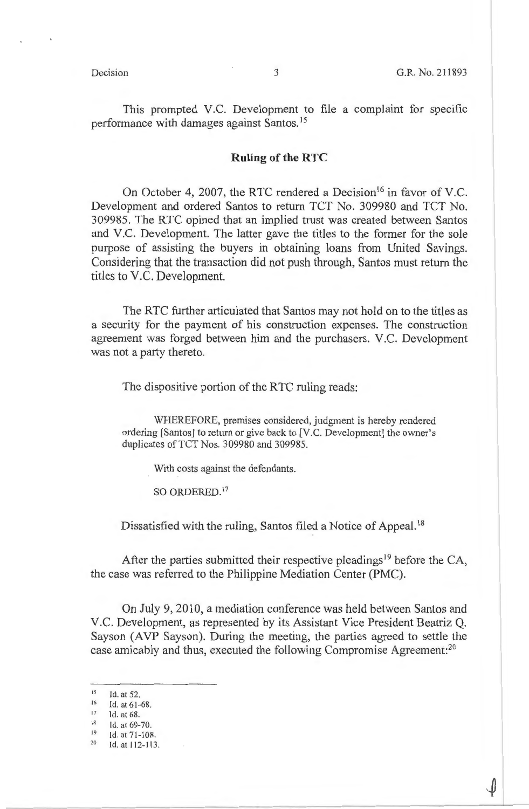This prompted V.C. Development to file a complaint for specific performance with damages against Santos. <sup>15</sup>

### **Ruling of the RTC**

On October 4, 2007, the RTC rendered a Decision<sup>16</sup> in favor of V.C. Development and ordered Santos to return TCT No. 309980 and TCT No. 309985. The RTC opined that an implied trust was created between Santos and V.C. Development. The latter gave the titles to the former for the sole purpose of assisting the buyers in obtaining loans from United Savings. Considering that the transaction did not push through, Santos must return the titles to V.C. Development.

The RTC further articulated that Santos may not hold on to the titles as a security for the payment of his construction expenses. The construction agreement was forged between him and the purchasers. V.C. Development was not a party thereto.

The dispositive portion of the RTC ruling reads:

WHEREFORE, premises considered, judgment is hereby rendered ordering [Santos] to return or give back to [V.C. Development] the owner's duplicates of TCT Nos. 309980 and 309985.

With costs against the defendants.

SO ORDERED. 17

Dissatisfied with the ruling, Santos filed a Notice of Appeal.<sup>18</sup>

After the parties submitted their respective pleadings<sup>19</sup> before the CA, the case was referred to the Philippine Mediation Center (PMC).

On July 9, 2010, a mediation conference was held between Santos and V.C. Development, as represented by its Assistant Vice President Beatriz Q. Sayson (AVP Sayson). During the meeting, the parties agreed to settle the case amicably and thus, executed the following Compromise Agreement:<sup>20</sup>

 $17$  Id. at 68.

19 ld.at71-108.

<sup>15</sup>  Id. at 52.

<sup>16</sup>  Id. at 61-68.

Id. at 69-70.

<sup>20</sup>  Id. at 112-113 .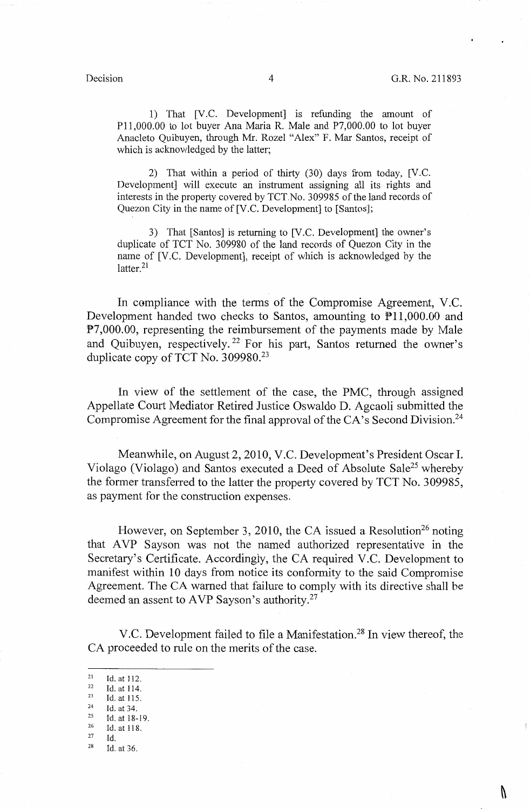V

1) That [V.C. Development] is refunding the amount of Pll,000.00 to lot buyer Ana Maria R. Male and P7,000.00 to lot buyer Anacleto Quibuyen, through Mr. Rozel "Alex" F. Mar Santos, receipt of which is acknowledged by the latter;

2) That within a period of thirty (30) days from today, [V.C. Development] will execute an instrument assigning all its rights and interests in the property covered by TCT.No. 309985 of the land records of Quezon City in the name of [V.C. Development] to [Santos];

3) That [Santos] is returning to [V.C. Development] the owner's duplicate of TCT No. 309980 of the land records of Quezon City in the name of [V.C. Development], receipt of which is acknowledged by the latter.<sup>21</sup>

In compliance with the terms of the Compromise Agreement, V.C. Development handed two checks to Santos, amounting to Pll,000.00 and P7,000.00, representing the reimbursement of the payments made by Male and Quibuyen, respectively. 22 For his part, Santos returned the owner's duplicate copy of TCT No.  $309980.^{23}$ 

In view of the settlement of the case, the PMC, through assigned Appellate Court Mediator Retired Justice Oswaldo D. Agcaoli submitted the Compromise Agreement for the final approval of the CA's Second Division.<sup>24</sup>

Meanwhile, on August 2, 2010, V.C. Development's President Oscar I. Violago (Violago) and Santos executed a Deed of Absolute Sale<sup>25</sup> whereby the former transferred to the latter the property covered by TCT No. 309985, as payment for the construction expenses.

However, on September 3, 2010, the CA issued a Resolution<sup>26</sup> noting that AVP Sayson was not the named authorized representative in the Secretary's Certificate. Accordingly, the CA required V.C. Development to manifest within 10 days from notice its conformity to the said Compromise Agreement. The CA warned that failure to comply with its directive shall be deemed an assent to AVP Sayson's authority.<sup>27</sup>

V.C. Development failed to file a Manifestation.28 In view thereof, the CA proceeded to rule on the merits of the case.

- 
- Id.

<sup>21</sup> Id. at 112. 22 Id. at **114.** 

<sup>23</sup> Id. at 115.<br>
24 Id. at 34.<br>
25 Id. at 18-19.<br>
26 Id. at 118.

<sup>28</sup> Id. at 36.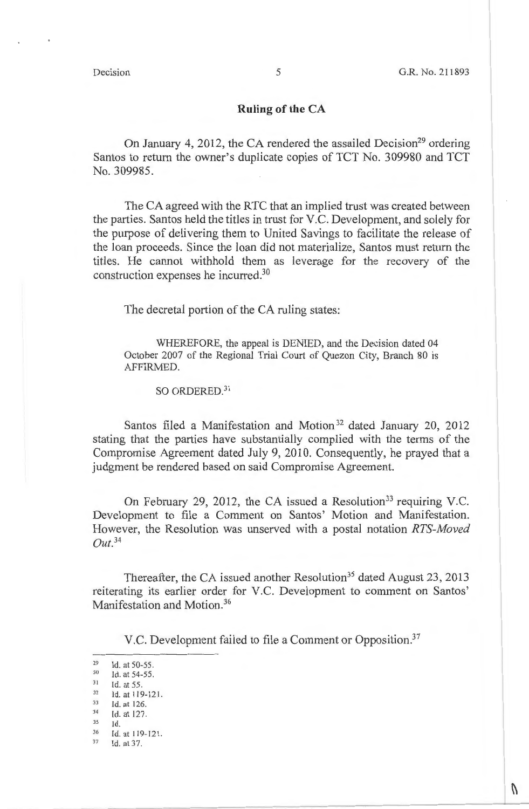$\theta$ 

### **Ruling of the CA**

On January 4, 2012, the CA rendered the assailed Decision<sup>29</sup> ordering Santos to return the owner's duplicate copies of TCT No. 309980 and TCT No. 309985.

The CA agreed with the RTC that an implied trust was created between the parties. Santos held the titles in trust for V.C. Development, and solely for the purpose of delivering them to United Savings to facilitate the release of the loan proceeds. Since the loan did not materialize, Santos must return the titles. He cannot withhold them as leverage for the recovery of the construction expenses he incurred. 30

The decretal portion of the CA ruling states:

WHEREFORE, the appeal is DENIED, and the Decision dated 04 October 2007 of the Regional Trial Court of Quezon City, Branch 80 is AFFIRMED.

SO ORDERED.<sup>31</sup>

Santos filed a Manifestation and Motion<sup>32</sup> dated January 20, 2012 stating that the parties have substantially complied with the terms of the Compromise Agreement dated July 9, 2010. Consequently, he prayed that a judgment be rendered based on said Compromise Agreement.

On February 29, 2012, the CA issued a Resolution<sup>33</sup> requiring V.C. Development to file a Comment on Santos' Motion and Manifestation. However, the Resolution was unserved with a postal notation *RTS-Moved Out. <sup>34</sup>*

Thereafter, the CA issued another Resolution<sup>35</sup> dated August 23, 2013 reiterating its earlier order for V.C. Development to comment on Santos' Manifestation and Motion.<sup>36</sup>

V.C. Development failed to file a Comment or Opposition.<sup>37</sup>

<sup>29</sup> Id. at 50-55.<br>
30 Id. at 54-55.<br>
31 Id. at 55.<br>
32 Id. at 119-121.<br>
33 Id. at 126.<br>
34 Id. at 127.

 $^{34}$  Id. at 127.

 $^{35}$  Id.<br> $^{36}$  Id. at 119-121.<br> $^{37}$  Id. at 37.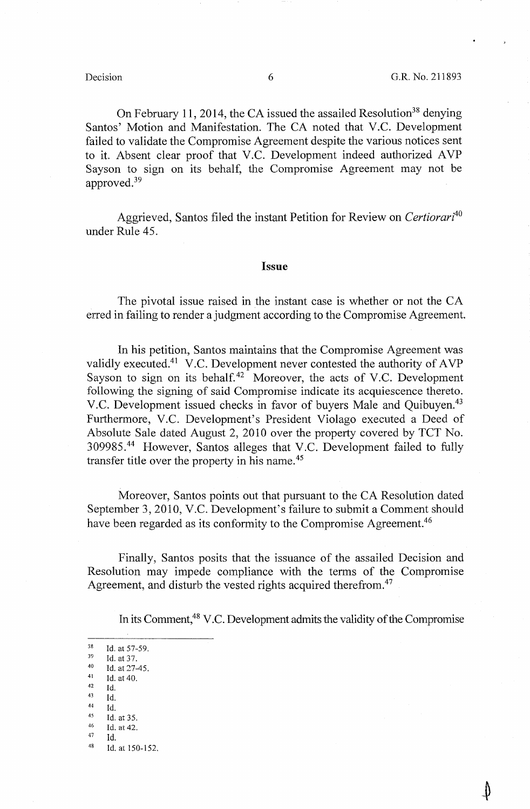On February 11, 2014, the CA issued the assailed Resolution<sup>38</sup> denying Santos' Motion and Manifestation. The CA noted that V.C. Development failed to validate the Compromise Agreement despite the various notices sent to it. Absent clear proof that V.C. Development indeed authorized AVP Sayson to sign on its behalf, the Compromise Agreement may not be approved.39

Aggrieved, Santos filed the instant Petition for Review on *Certiorari<sup>40</sup>* under Rule 45.

### **Issue**

The pivotal issue raised in the instant case is whether or not the CA erred in failing to render a judgment according to the Compromise Agreement.

In his petition, Santos maintains that the Compromise Agreement was validly executed.41 V.C. Development never contested the authority of AVP Sayson to sign on its behalf.<sup>42</sup> Moreover, the acts of V.C. Development following the signing of said Compromise indicate its acquiescence thereto. V.C. Development issued checks in favor of buyers Male and Quibuyen.<sup>43</sup> Furthermore, V.C. Development's President Violago executed a Deed of Absolute Sale dated August 2, 2010 over the property covered by TCT No. 309985. 44 However, Santos alleges that V.C. Development failed to fully transfer title over the property in his name. 45

Moreover, Santos points out that pursuant to the CA Resolution dated September 3, 2010, V.C. Development's failure to submit a Comment should have been regarded as its conformity to the Compromise Agreement.<sup>46</sup>

Finally, Santos posits that the issuance of the assailed Decision and Resolution may impede compliance with the terms of the Compromise Agreement, and disturb the vested rights acquired therefrom.<sup>47</sup>

In its Comment,<sup>48</sup> V.C. Development admits the validity of the Compromise

38 Id. at 57-59.<br>
39 Id. at 37.<br>
40 Id. at 27-45.<br>
41 Id. at 40. Id. 43 Id. 44 Id.<br>
45 Id. at 35.<br>
46 Id. at 42.<br>
47 Id.  $^{47}$  Id.<br> $^{48}$  Id. at 150-152.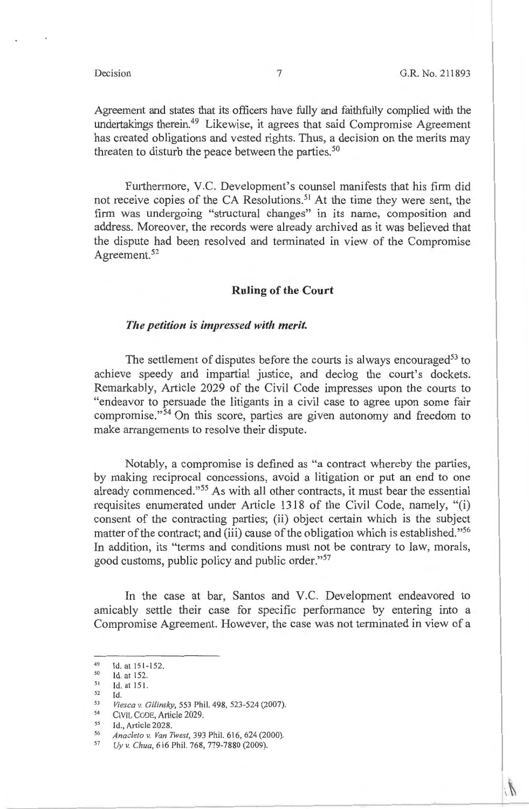Agreement and states that its officers have fully and faithfully complied with the undertakings therein.49 Likewise, it agrees that said Compromise Agreement has created obligations and vested rights. Thus, a decision on the merits may threaten to disturb the peace between the parties.<sup>50</sup>

Furthermore, V.C. Development's counsel manifests that his firm did not receive copies of the CA Resolutions. 51 At the time they were sent, the firm was undergoing "structural changes" in its name, composition and address. Moreover, the records were already archived as it was believed that the dispute had been resolved and terminated in view of the Compromise Agreement.<sup>52</sup>

### **Ruling of the Court**

### *The petition is impressed with merit.*

The settlement of disputes before the courts is always encouraged<sup>53</sup> to achieve speedy and impartial justice, and declog the court's dockets. Remarkably, Article 2029 of the Civil Code impresses upon the courts to "endeavor to persuade the litigants in a civil case to agree upon some fair compromise." $54$  On this score, parties are given autonomy and freedom to make arrangements to resolve their dispute.

Notably, a compromise is defined as "a contract whereby the parties, by making reciprocal concessions, avoid a litigation or put an end to one already commenced."55 As with all other contracts, it must bear the essential requisites enumerated under Article 1318 of the Civil Code, namely, "(i) consent of the contracting parties; (ii) object certain which is the subject matter of the contract; and (iii) cause of the obligation which is established."<sup>56</sup> In addition, its "terms and conditions must not be contrary to law, morals, good customs, public policy and public order."<sup>57</sup>

In the case at bar, Santos and V.C. Development endeavored to amicably settle their case for specific performance by entering into a Compromise Agreement. However, the case was not terminated in view of a

<sup>49</sup> Id. at  $151-152$ .<br>50 Id. at  $152$ .

 $^{51}$  Id. at 151.<br> $^{52}$  Id

<sup>52</sup> Id.<br> *Viesca v. Gilinsky*, 553 Phil. 498, 523-524 (2007).<br>
CIVIL CODE, Article 2029.<br>
55 Id. Article 2028.

<sup>55</sup> Id., Article 2028.<br>56 *Anacleto v. Van Twest*, 393 Phil. 616, 624 (2000).<br><sup>57</sup> *Uy v. Chua*, 616 Phil. 768, 779-7880 (2009).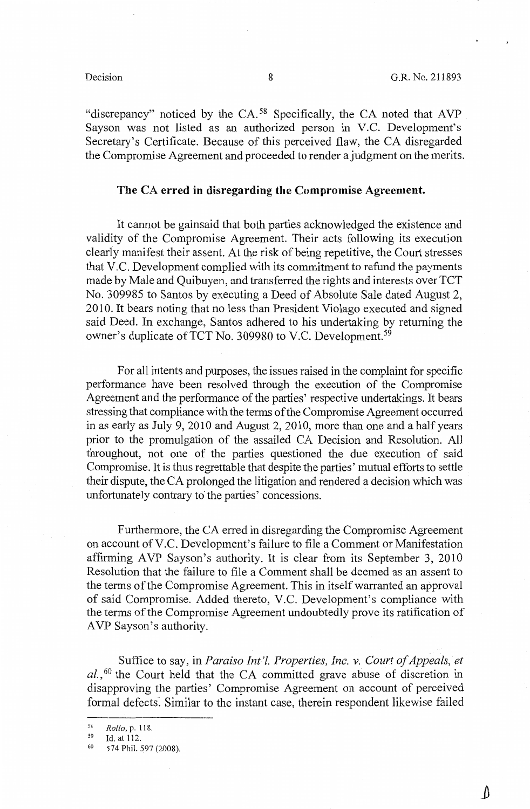"discrepancy" noticed by the CA.<sup>58</sup> Specifically, the CA noted that AVP Sayson was not listed as an authorized person in V.C. Development's Secretary's Certificate. Because of this perceived flaw, the CA disregarded the Compromise Agreement and proceeded to render a judgment on the merits.

### **The CA erred in disregarding the Compromise Agreement.**

It cannot be gainsaid that both parties acknowledged the existence and validity of the Compromise Agreement. Their acts following its execution clearly manifest their assent. At the risk of being repetitive, the Court stresses that V.C. Development complied with its commitment to refund the payments made by Male and Quibuyen, and transferred the rights and interests over TCT No. 309985 to Santos by executing a Deed of Absolute Sale dated August 2, 2010. It bears noting that no less than President Violago executed and signed said Deed. In exchange, Santos adhered to his undertaking by returning the owner's duplicate of TCT No. 309980 to V.C. Development.<sup>59</sup>

For all intents and purposes, the issues raised in the complaint for specific performance have been resolved through the execution of the Compromise Agreement and the performance of the parties' respective undertakings. It bears stressing that compliance with the terms of the Compromise Agreement occurred in as early as July 9, 2010 and August 2, 2010, more than one and a half years prior to the promulgation of the assailed CA Decision and Resolution. All throughout, not one of the parties questioned the due execution of said Compromise. It is thus regrettable that despite the parties' mutual efforts to settle their dispute, the CA prolonged the litigation and rendered a decision which was unfortunately contrary to the parties' concessions.

Furthermore, the CA erred in disregarding the Compromise Agreement on account ofV.C. Development's failure to file a Comment or Manifestation affirming AVP Sayson's authority. It is clear from its September 3, 2010 Resolution that the failure to file a Comment shall be deemed as an assent to the terms of the Compromise Agreement. This in itself warranted an approval of said Compromise. Added thereto, V.C. Development's compliance with the terms of the Compromise Agreement undoubtedly prove its ratification of AVP Sayson's authority.

Suffice to say, in *Paraiso Int'l. Properties, Inc. v. Court of Appeals, et*  al.,<sup>60</sup> the Court held that the CA committed grave abuse of discretion in disapproving the parties' Compromise Agreement on account of perceived formal defects. Similar to the instant case, therein respondent likewise failed

<sup>58</sup>*Rollo,* p. 118. 59 Id. at 112. 60 574 Phil. 597 (2008).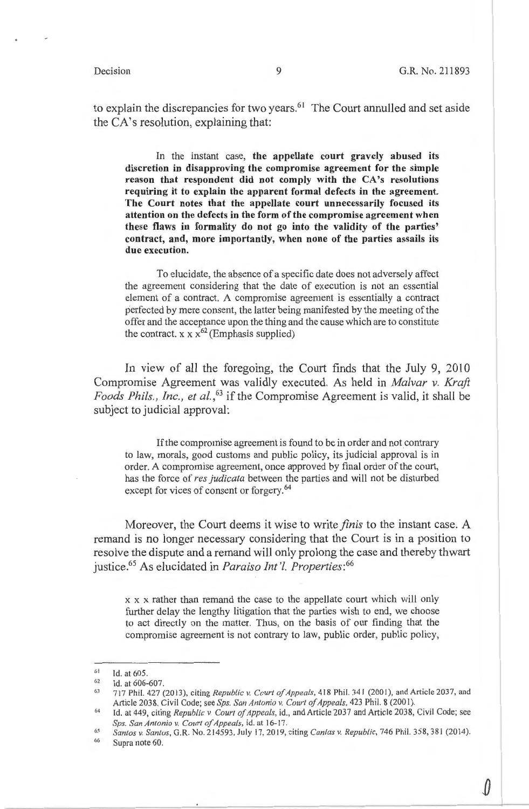$\theta$ 

to explain the discrepancies for two years. $61$  The Court annulled and set aside the CA's resolution, explaining that:

In the instant case, **the appellate court gravely abused its discretion in disapproving the compromise agreement for the simple reason that respondent did not comply with the CA's resolutions requiring it to explain the apparent formal defects in the agreement. The Court notes that the appellate court unnecessarily focused its attention on the defects in the form of the compromise agreement when these flaws in formality do not go into the validity of the parties' contract, and, more importantly, when none of the parties assails its due execution.** 

To elucidate, the absence of a specific date does not adversely affect the agreement considering that the date of execution is not an essential element of a contract. A compromise agreement is essentially a contract perfected by mere consent, the latter being manifested by the meeting of the offer and the acceptance upon the thing and the cause which are to constitute the contract. x  $x x^{62}$  (Emphasis supplied)

In view of all the foregoing, the Court finds that the July 9, 2010 Compromise Agreement was validly executed. As held in *Malvar v. Kraft Foods Phils. , Inc., et al.,63* if the Compromise Agreement is valid, it shall be subject to judicial approval:

If the compromise agreement is found to be in order and not contrary to law, morals, good customs and public policy, its judicial approval is in order. A compromise agreement, once approved by final order of the court, has the force of *res judicata* between the parties and will not be disturbed except for vices of consent or forgery.<sup>64</sup>

Moreover, the Court deems it wise to write *finis* to the instant case. A remand is no longer necessary considering that the Court is in a position to resolve the dispute and a remand will only prolong the case and thereby thwart justice.65 As elucidated in *Paraiso Int* 'l. *Properties: <sup>66</sup>*

x x x rather than remand the case to the appellate court which will only further delay the lengthy litigation that the parties wish to end, we choose to act directly on the matter. Thus, on the basis of our finding that the compromise agreement is not contrary to law, public order, public policy,

<sup>6</sup> 1 Id. at 605 .

<sup>62</sup>  Id. at 606-607.

<sup>63</sup>  717 Phil. 427 (2013), citing *Republic v. Court of Appeals*, 418 Phil. 341 (2001), and Article 2037, and Article 2038. Civil Code; see *Sps. San Antonia v. Court of Appeals,* 423 Phii. 8(2001 ).

<sup>64</sup>  Id. at 449, citing *Republic v Court of Appeals,* id., and Article 2037 and Article 2038, Civil Code; see *Sps. San Antonio v. Court o\_/Appeals,* id. at 16--17.

<sup>65</sup>  66 *Santos v. San/us,* G.R. No. 214593, July 17, 2019, citing *Canlas v. Republic,* 746 Phil. 358, 381 (2014). Supra note 60.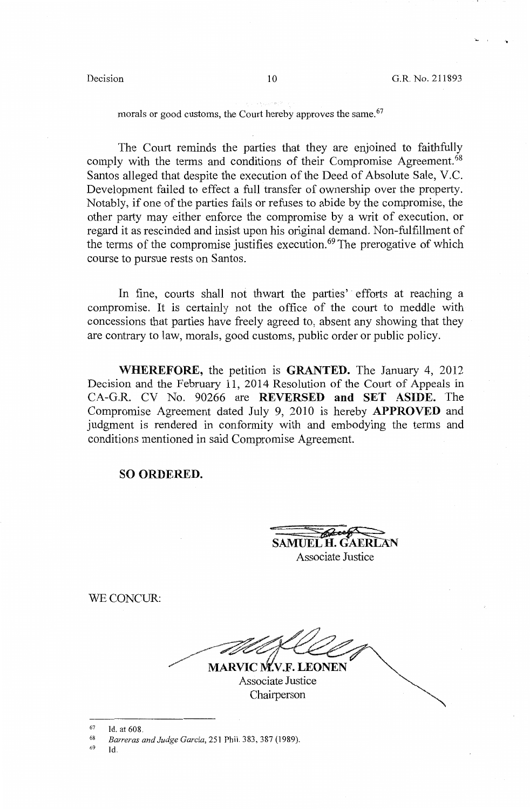...

morals or good customs, the Court hereby approves the same.<sup>67</sup>

The Court reminds the parties that they are enjoined to faithfully comply with the terms and conditions of their Compromise Agreement.<sup>68</sup> Santos alleged that despite the execution of the Deed of Absolute Sale, V.C. Development failed to effect a full transfer of ownership over the property. Notably, if one of the parties fails or refuses to abide by the compromise, the other party may either enforce the compromise by a writ of execution, or regard it as rescinded and insist upon his original demand. Non-fulfillment of the terms of the compromise justifies execution.<sup> $69$ </sup> The prerogative of which course to pursue rests on Santos.

In fine, courts shall not thwart the parties' efforts at reaching a compromise. It is certainly not the office of the court to meddle with concessions that parties have freely agreed to, absent any showing that they are contrary to law, morals, good customs, public order or public policy.

**WHEREFORE,** the petition is **GRANTED.** The January 4, 2012 Decision and the February 11, 2014 Resolution of the Court of Appeals in CA-G.R. CV No. 90266 are **REVERSED and SET ASIDE.** The Compromise Agreement dated July 9, 2010 is hereby **APPROVED** and judgment is rendered in conformity with and embodying the terms and conditions mentioned in said Compromise Agreement.

### **SO ORDERED.**

SAMUEL H. GAERLAN Associate Justice

WECONCUR:

MARVIC M.V.F. LEONEN

Associate Justice Chairperson

 $^{67}$  Id. at 608.

69 Id.

<sup>68</sup>*Barreras and Judge Garcia,* 251 Phil. 383,387 (1989).